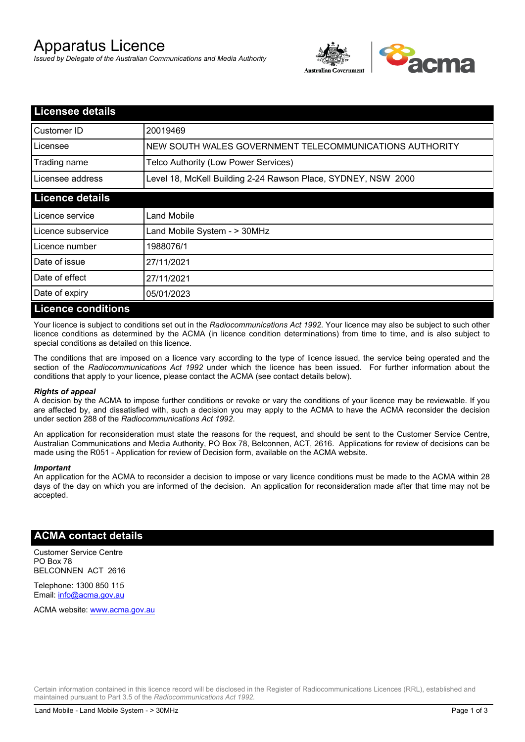# Apparatus Licence

*Issued by Delegate of the Australian Communications and Media Authority*



| <b>Licensee details</b>   |                                                               |  |
|---------------------------|---------------------------------------------------------------|--|
| Customer ID               | 20019469                                                      |  |
| Licensee                  | NEW SOUTH WALES GOVERNMENT TELECOMMUNICATIONS AUTHORITY       |  |
| Trading name              | Telco Authority (Low Power Services)                          |  |
| Licensee address          | Level 18, McKell Building 2-24 Rawson Place, SYDNEY, NSW 2000 |  |
| <b>Licence details</b>    |                                                               |  |
| l Licence service         | Land Mobile                                                   |  |
| Licence subservice        | Land Mobile System - > 30MHz                                  |  |
| Licence number            | 1988076/1                                                     |  |
| Date of issue             | 27/11/2021                                                    |  |
| Date of effect            | 27/11/2021                                                    |  |
| Date of expiry            | 05/01/2023                                                    |  |
| <b>Licence conditions</b> |                                                               |  |

Your licence is subject to conditions set out in the *Radiocommunications Act 1992*. Your licence may also be subject to such other licence conditions as determined by the ACMA (in licence condition determinations) from time to time, and is also subject to special conditions as detailed on this licence.

The conditions that are imposed on a licence vary according to the type of licence issued, the service being operated and the section of the *Radiocommunications Act 1992* under which the licence has been issued. For further information about the conditions that apply to your licence, please contact the ACMA (see contact details below).

#### *Rights of appeal*

A decision by the ACMA to impose further conditions or revoke or vary the conditions of your licence may be reviewable. If you are affected by, and dissatisfied with, such a decision you may apply to the ACMA to have the ACMA reconsider the decision under section 288 of the *Radiocommunications Act 1992*.

An application for reconsideration must state the reasons for the request, and should be sent to the Customer Service Centre, Australian Communications and Media Authority, PO Box 78, Belconnen, ACT, 2616. Applications for review of decisions can be made using the R051 - Application for review of Decision form, available on the ACMA website.

#### *Important*

An application for the ACMA to reconsider a decision to impose or vary licence conditions must be made to the ACMA within 28 days of the day on which you are informed of the decision. An application for reconsideration made after that time may not be accepted.

### **ACMA contact details**

Customer Service Centre PO Box 78 BELCONNEN ACT 2616

Telephone: 1300 850 115 Email: info@acma.gov.au

ACMA website: www.acma.gov.au

Certain information contained in this licence record will be disclosed in the Register of Radiocommunications Licences (RRL), established and maintained pursuant to Part 3.5 of the *Radiocommunications Act 1992.*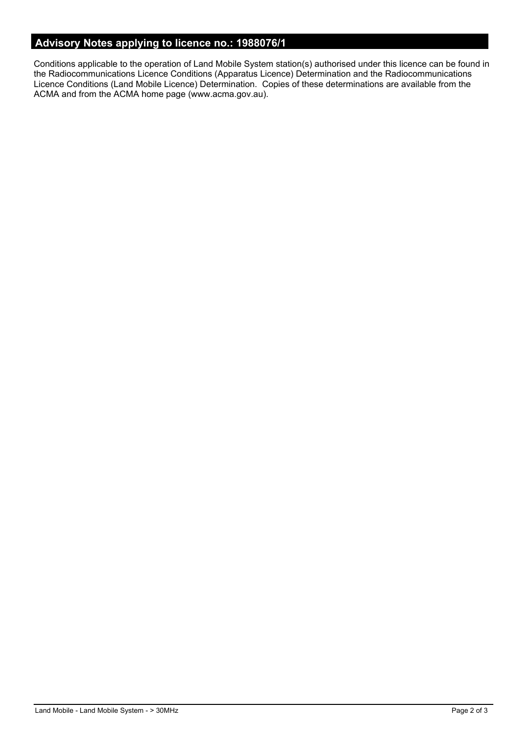# **Advisory Notes applying to licence no.: 1988076/1**

Conditions applicable to the operation of Land Mobile System station(s) authorised under this licence can be found in the Radiocommunications Licence Conditions (Apparatus Licence) Determination and the Radiocommunications Licence Conditions (Land Mobile Licence) Determination. Copies of these determinations are available from the ACMA and from the ACMA home page (www.acma.gov.au).